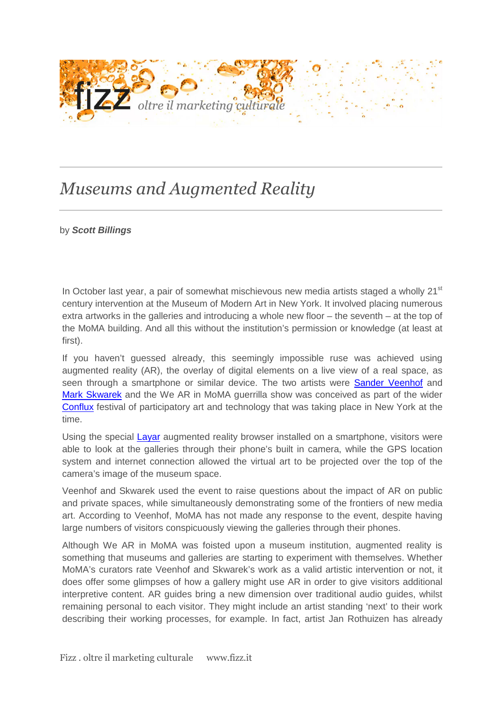

## *Museums and Augmented Reality*

## by **Scott Billings**

In October last year, a pair of somewhat mischievous new media artists staged a wholly  $21<sup>st</sup>$ century intervention at the Museum of Modern Art in New York. It involved placing numerous extra artworks in the galleries and introducing a whole new floor – the seventh – at the top of the MoMA building. And all this without the institution's permission or knowledge (at least at first).

If you haven't guessed already, this seemingly impossible ruse was achieved using augmented reality (AR), the overlay of digital elements on a live view of a real space, as seen through a smartphone or similar device. The two artists were Sander Veenhof and Mark Skwarek and the We AR in MoMA guerrilla show was conceived as part of the wider Conflux festival of participatory art and technology that was taking place in New York at the time.

Using the special **Layar** augmented reality browser installed on a smartphone, visitors were able to look at the galleries through their phone's built in camera, while the GPS location system and internet connection allowed the virtual art to be projected over the top of the camera's image of the museum space.

Veenhof and Skwarek used the event to raise questions about the impact of AR on public and private spaces, while simultaneously demonstrating some of the frontiers of new media art. According to Veenhof, MoMA has not made any response to the event, despite having large numbers of visitors conspicuously viewing the galleries through their phones.

Although We AR in MoMA was foisted upon a museum institution, augmented reality is something that museums and galleries are starting to experiment with themselves. Whether MoMA's curators rate Veenhof and Skwarek's work as a valid artistic intervention or not, it does offer some glimpses of how a gallery might use AR in order to give visitors additional interpretive content. AR guides bring a new dimension over traditional audio guides, whilst remaining personal to each visitor. They might include an artist standing 'next' to their work describing their working processes, for example. In fact, artist Jan Rothuizen has already